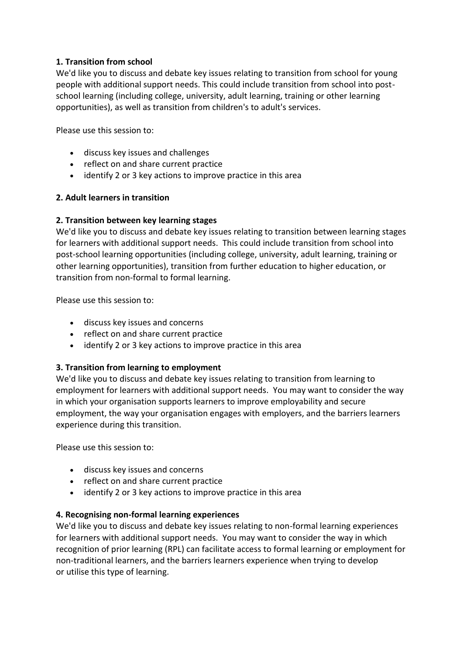# **1. Transition from school**

We'd like you to discuss and debate key issues relating to transition from school for young people with additional support needs. This could include transition from school into postschool learning (including college, university, adult learning, training or other learning opportunities), as well as transition from children's to adult's services.

Please use this session to:

- discuss key issues and challenges
- reflect on and share current practice
- identify 2 or 3 key actions to improve practice in this area

## **2. Adult learners in transition**

## **2. Transition between key learning stages**

We'd like you to discuss and debate key issues relating to transition between learning stages for learners with additional support needs. This could include transition from school into post-school learning opportunities (including college, university, adult learning, training or other learning opportunities), transition from further education to higher education, or transition from non-formal to formal learning.

Please use this session to:

- discuss key issues and concerns
- reflect on and share current practice
- identify 2 or 3 key actions to improve practice in this area

## **3. Transition from learning to employment**

We'd like you to discuss and debate key issues relating to transition from learning to employment for learners with additional support needs. You may want to consider the way in which your organisation supports learners to improve employability and secure employment, the way your organisation engages with employers, and the barriers learners experience during this transition.

Please use this session to:

- discuss key issues and concerns
- reflect on and share current practice
- identify 2 or 3 key actions to improve practice in this area

## **4. Recognising non-formal learning experiences**

We'd like you to discuss and debate key issues relating to non-formal learning experiences for learners with additional support needs. You may want to consider the way in which recognition of prior learning (RPL) can facilitate access to formal learning or employment for non-traditional learners, and the barriers learners experience when trying to develop or utilise this type of learning.